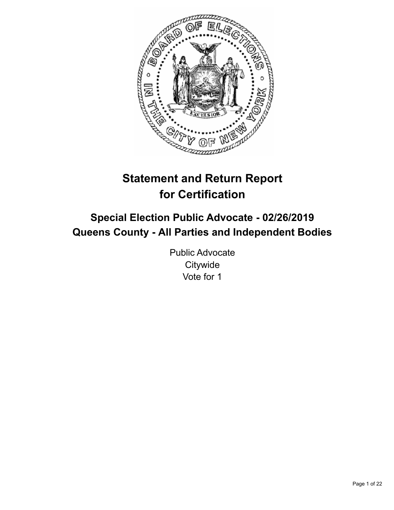

# **Statement and Return Report for Certification**

## **Special Election Public Advocate - 02/26/2019 Queens County - All Parties and Independent Bodies**

Public Advocate **Citywide** Vote for 1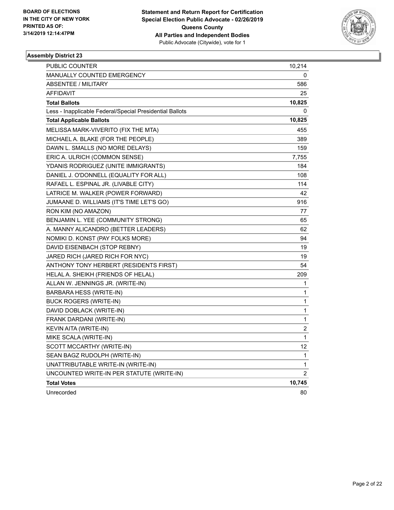

| PUBLIC COUNTER                                           | 10,214 |
|----------------------------------------------------------|--------|
| <b>MANUALLY COUNTED EMERGENCY</b>                        | 0      |
| <b>ABSENTEE / MILITARY</b>                               | 586    |
| AFFIDAVIT                                                | 25     |
| <b>Total Ballots</b>                                     | 10,825 |
| Less - Inapplicable Federal/Special Presidential Ballots | 0      |
| <b>Total Applicable Ballots</b>                          | 10,825 |
| MELISSA MARK-VIVERITO (FIX THE MTA)                      | 455    |
| MICHAEL A. BLAKE (FOR THE PEOPLE)                        | 389    |
| DAWN L. SMALLS (NO MORE DELAYS)                          | 159    |
| ERIC A. ULRICH (COMMON SENSE)                            | 7,755  |
| YDANIS RODRIGUEZ (UNITE IMMIGRANTS)                      | 184    |
| DANIEL J. O'DONNELL (EQUALITY FOR ALL)                   | 108    |
| RAFAEL L. ESPINAL JR. (LIVABLE CITY)                     | 114    |
| LATRICE M. WALKER (POWER FORWARD)                        | 42     |
| JUMAANE D. WILLIAMS (IT'S TIME LET'S GO)                 | 916    |
| RON KIM (NO AMAZON)                                      | 77     |
| BENJAMIN L. YEE (COMMUNITY STRONG)                       | 65     |
| A. MANNY ALICANDRO (BETTER LEADERS)                      | 62     |
| NOMIKI D. KONST (PAY FOLKS MORE)                         | 94     |
| DAVID EISENBACH (STOP REBNY)                             | 19     |
| JARED RICH (JARED RICH FOR NYC)                          | 19     |
| ANTHONY TONY HERBERT (RESIDENTS FIRST)                   | 54     |
| HELAL A. SHEIKH (FRIENDS OF HELAL)                       | 209    |
| ALLAN W. JENNINGS JR. (WRITE-IN)                         | 1      |
| BARBARA HESS (WRITE-IN)                                  | 1      |
| <b>BUCK ROGERS (WRITE-IN)</b>                            | 1      |
| DAVID DOBLACK (WRITE-IN)                                 | 1      |
| FRANK DARDANI (WRITE-IN)                                 | 1      |
| KEVIN AITA (WRITE-IN)                                    | 2      |
| MIKE SCALA (WRITE-IN)                                    | 1      |
| SCOTT MCCARTHY (WRITE-IN)                                | 12     |
| SEAN BAGZ RUDOLPH (WRITE-IN)                             | 1      |
| UNATTRIBUTABLE WRITE-IN (WRITE-IN)                       | 1      |
| UNCOUNTED WRITE-IN PER STATUTE (WRITE-IN)                | 2      |
| <b>Total Votes</b>                                       | 10,745 |
| Unrecorded                                               | 80     |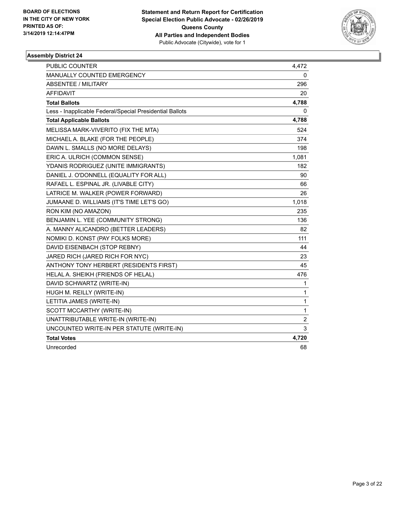

| PUBLIC COUNTER                                           | 4,472          |
|----------------------------------------------------------|----------------|
| MANUALLY COUNTED EMERGENCY                               | 0              |
| <b>ABSENTEE / MILITARY</b>                               | 296            |
| <b>AFFIDAVIT</b>                                         | 20             |
| <b>Total Ballots</b>                                     | 4,788          |
| Less - Inapplicable Federal/Special Presidential Ballots | 0              |
| <b>Total Applicable Ballots</b>                          | 4,788          |
| MELISSA MARK-VIVERITO (FIX THE MTA)                      | 524            |
| MICHAEL A. BLAKE (FOR THE PEOPLE)                        | 374            |
| DAWN L. SMALLS (NO MORE DELAYS)                          | 198            |
| ERIC A. ULRICH (COMMON SENSE)                            | 1,081          |
| YDANIS RODRIGUEZ (UNITE IMMIGRANTS)                      | 182            |
| DANIEL J. O'DONNELL (EQUALITY FOR ALL)                   | 90             |
| RAFAEL L. ESPINAL JR. (LIVABLE CITY)                     | 66             |
| LATRICE M. WALKER (POWER FORWARD)                        | 26             |
| JUMAANE D. WILLIAMS (IT'S TIME LET'S GO)                 | 1,018          |
| RON KIM (NO AMAZON)                                      | 235            |
| BENJAMIN L. YEE (COMMUNITY STRONG)                       | 136            |
| A. MANNY ALICANDRO (BETTER LEADERS)                      | 82             |
| NOMIKI D. KONST (PAY FOLKS MORE)                         | 111            |
| DAVID EISENBACH (STOP REBNY)                             | 44             |
| JARED RICH (JARED RICH FOR NYC)                          | 23             |
| ANTHONY TONY HERBERT (RESIDENTS FIRST)                   | 45             |
| HELAL A. SHEIKH (FRIENDS OF HELAL)                       | 476            |
| DAVID SCHWARTZ (WRITE-IN)                                | 1              |
| HUGH M. REILLY (WRITE-IN)                                | $\mathbf{1}$   |
| LETITIA JAMES (WRITE-IN)                                 | $\mathbf{1}$   |
| SCOTT MCCARTHY (WRITE-IN)                                | $\mathbf{1}$   |
| UNATTRIBUTABLE WRITE-IN (WRITE-IN)                       | $\overline{2}$ |
| UNCOUNTED WRITE-IN PER STATUTE (WRITE-IN)                | 3              |
| <b>Total Votes</b>                                       | 4,720          |
| Unrecorded                                               | 68             |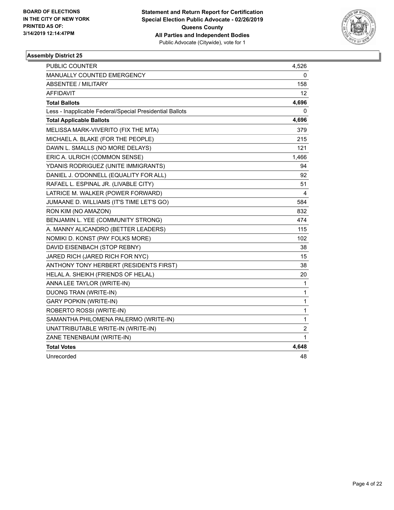

| <b>PUBLIC COUNTER</b>                                    | 4,526        |
|----------------------------------------------------------|--------------|
| MANUALLY COUNTED EMERGENCY                               | 0            |
| <b>ABSENTEE / MILITARY</b>                               | 158          |
| AFFIDAVIT                                                | 12           |
| <b>Total Ballots</b>                                     | 4,696        |
| Less - Inapplicable Federal/Special Presidential Ballots | 0            |
| <b>Total Applicable Ballots</b>                          | 4,696        |
| MELISSA MARK-VIVERITO (FIX THE MTA)                      | 379          |
| MICHAEL A. BLAKE (FOR THE PEOPLE)                        | 215          |
| DAWN L. SMALLS (NO MORE DELAYS)                          | 121          |
| ERIC A. ULRICH (COMMON SENSE)                            | 1,466        |
| YDANIS RODRIGUEZ (UNITE IMMIGRANTS)                      | 94           |
| DANIEL J. O'DONNELL (EQUALITY FOR ALL)                   | 92           |
| RAFAEL L. ESPINAL JR. (LIVABLE CITY)                     | 51           |
| LATRICE M. WALKER (POWER FORWARD)                        | 4            |
| JUMAANE D. WILLIAMS (IT'S TIME LET'S GO)                 | 584          |
| RON KIM (NO AMAZON)                                      | 832          |
| BENJAMIN L. YEE (COMMUNITY STRONG)                       | 474          |
| A. MANNY ALICANDRO (BETTER LEADERS)                      | 115          |
| NOMIKI D. KONST (PAY FOLKS MORE)                         | 102          |
| DAVID EISENBACH (STOP REBNY)                             | 38           |
| JARED RICH (JARED RICH FOR NYC)                          | 15           |
| ANTHONY TONY HERBERT (RESIDENTS FIRST)                   | 38           |
| HELAL A. SHEIKH (FRIENDS OF HELAL)                       | 20           |
| ANNA LEE TAYLOR (WRITE-IN)                               | 1            |
| DUONG TRAN (WRITE-IN)                                    | $\mathbf{1}$ |
| <b>GARY POPKIN (WRITE-IN)</b>                            | 1            |
| ROBERTO ROSSI (WRITE-IN)                                 | $\mathbf{1}$ |
| SAMANTHA PHILOMENA PALERMO (WRITE-IN)                    | 1            |
| UNATTRIBUTABLE WRITE-IN (WRITE-IN)                       | 2            |
| ZANE TENENBAUM (WRITE-IN)                                | 1            |
| <b>Total Votes</b>                                       | 4,648        |
| Unrecorded                                               | 48           |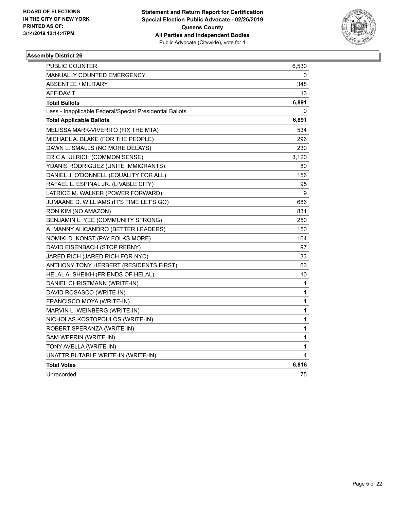

| PUBLIC COUNTER                                           | 6,530       |
|----------------------------------------------------------|-------------|
| MANUALLY COUNTED EMERGENCY                               | 0           |
| ABSENTEE / MILITARY                                      | 348         |
| <b>AFFIDAVIT</b>                                         | 13          |
| <b>Total Ballots</b>                                     | 6,891       |
| Less - Inapplicable Federal/Special Presidential Ballots | 0           |
| <b>Total Applicable Ballots</b>                          | 6,891       |
| MELISSA MARK-VIVERITO (FIX THE MTA)                      | 534         |
| MICHAEL A. BLAKE (FOR THE PEOPLE)                        | 296         |
| DAWN L. SMALLS (NO MORE DELAYS)                          | 230         |
| ERIC A. ULRICH (COMMON SENSE)                            | 3,120       |
| YDANIS RODRIGUEZ (UNITE IMMIGRANTS)                      | 80          |
| DANIEL J. O'DONNELL (EQUALITY FOR ALL)                   | 156         |
| RAFAEL L. ESPINAL JR. (LIVABLE CITY)                     | 95          |
| LATRICE M. WALKER (POWER FORWARD)                        | 9           |
| JUMAANE D. WILLIAMS (IT'S TIME LET'S GO)                 | 686         |
| RON KIM (NO AMAZON)                                      | 831         |
| BENJAMIN L. YEE (COMMUNITY STRONG)                       | 250         |
| A. MANNY ALICANDRO (BETTER LEADERS)                      | 150         |
| NOMIKI D. KONST (PAY FOLKS MORE)                         | 164         |
| DAVID EISENBACH (STOP REBNY)                             | 97          |
| JARED RICH (JARED RICH FOR NYC)                          | 33          |
| ANTHONY TONY HERBERT (RESIDENTS FIRST)                   | 63          |
| HELAL A. SHEIKH (FRIENDS OF HELAL)                       | 10          |
| DANIEL CHRISTMANN (WRITE-IN)                             | 1           |
| DAVID ROSASCO (WRITE-IN)                                 | 1           |
| FRANCISCO MOYA (WRITE-IN)                                | 1           |
| MARVIN L. WEINBERG (WRITE-IN)                            | 1           |
| NICHOLAS KOSTOPOULOS (WRITE-IN)                          | 1           |
| ROBERT SPERANZA (WRITE-IN)                               | $\mathbf 1$ |
| SAM WEPRIN (WRITE-IN)                                    | $\mathbf 1$ |
| TONY AVELLA (WRITE-IN)                                   | 1           |
| UNATTRIBUTABLE WRITE-IN (WRITE-IN)                       | 4           |
| <b>Total Votes</b>                                       | 6,816       |
| Unrecorded                                               | 75          |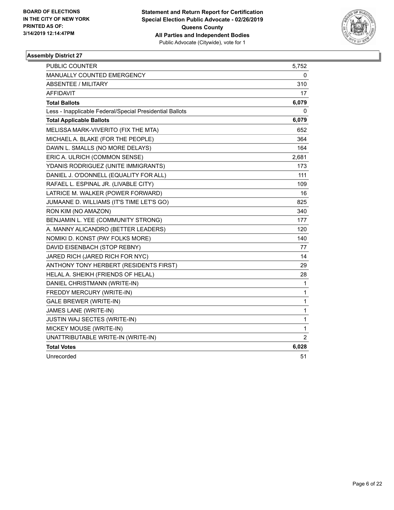

| PUBLIC COUNTER                                           | 5,752        |
|----------------------------------------------------------|--------------|
| MANUALLY COUNTED EMERGENCY                               | 0            |
| <b>ABSENTEE / MILITARY</b>                               | 310          |
| <b>AFFIDAVIT</b>                                         | 17           |
| <b>Total Ballots</b>                                     | 6,079        |
| Less - Inapplicable Federal/Special Presidential Ballots | 0            |
| <b>Total Applicable Ballots</b>                          | 6,079        |
| MELISSA MARK-VIVERITO (FIX THE MTA)                      | 652          |
| MICHAEL A. BLAKE (FOR THE PEOPLE)                        | 364          |
| DAWN L. SMALLS (NO MORE DELAYS)                          | 164          |
| ERIC A. ULRICH (COMMON SENSE)                            | 2,681        |
| YDANIS RODRIGUEZ (UNITE IMMIGRANTS)                      | 173          |
| DANIEL J. O'DONNELL (EQUALITY FOR ALL)                   | 111          |
| RAFAEL L. ESPINAL JR. (LIVABLE CITY)                     | 109          |
| LATRICE M. WALKER (POWER FORWARD)                        | 16           |
| JUMAANE D. WILLIAMS (IT'S TIME LET'S GO)                 | 825          |
| RON KIM (NO AMAZON)                                      | 340          |
| BENJAMIN L. YEE (COMMUNITY STRONG)                       | 177          |
| A. MANNY ALICANDRO (BETTER LEADERS)                      | 120          |
| NOMIKI D. KONST (PAY FOLKS MORE)                         | 140          |
| DAVID EISENBACH (STOP REBNY)                             | 77           |
| JARED RICH (JARED RICH FOR NYC)                          | 14           |
| ANTHONY TONY HERBERT (RESIDENTS FIRST)                   | 29           |
| HELAL A. SHEIKH (FRIENDS OF HELAL)                       | 28           |
| DANIEL CHRISTMANN (WRITE-IN)                             | 1            |
| FREDDY MERCURY (WRITE-IN)                                | $\mathbf{1}$ |
| <b>GALE BREWER (WRITE-IN)</b>                            | $\mathbf{1}$ |
| JAMES LANE (WRITE-IN)                                    | $\mathbf{1}$ |
| JUSTIN WAJ SECTES (WRITE-IN)                             | $\mathbf{1}$ |
| MICKEY MOUSE (WRITE-IN)                                  | 1            |
| UNATTRIBUTABLE WRITE-IN (WRITE-IN)                       | 2            |
| <b>Total Votes</b>                                       | 6,028        |
| Unrecorded                                               | 51           |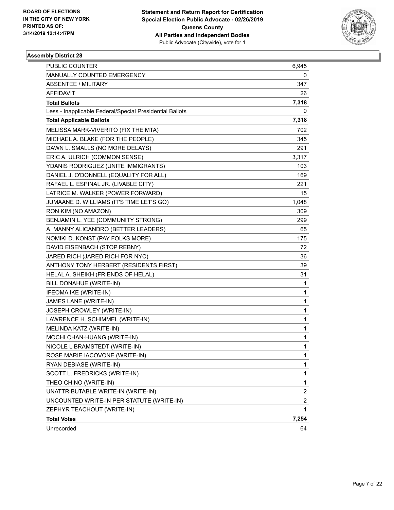

| <b>PUBLIC COUNTER</b>                                    | 6,945                   |
|----------------------------------------------------------|-------------------------|
| MANUALLY COUNTED EMERGENCY                               | 0                       |
| <b>ABSENTEE / MILITARY</b>                               | 347                     |
| AFFIDAVIT                                                | 26                      |
| <b>Total Ballots</b>                                     | 7,318                   |
| Less - Inapplicable Federal/Special Presidential Ballots | 0                       |
| <b>Total Applicable Ballots</b>                          | 7,318                   |
| MELISSA MARK-VIVERITO (FIX THE MTA)                      | 702                     |
| MICHAEL A. BLAKE (FOR THE PEOPLE)                        | 345                     |
| DAWN L. SMALLS (NO MORE DELAYS)                          | 291                     |
| ERIC A. ULRICH (COMMON SENSE)                            | 3,317                   |
| YDANIS RODRIGUEZ (UNITE IMMIGRANTS)                      | 103                     |
| DANIEL J. O'DONNELL (EQUALITY FOR ALL)                   | 169                     |
| RAFAEL L. ESPINAL JR. (LIVABLE CITY)                     | 221                     |
| LATRICE M. WALKER (POWER FORWARD)                        | 15                      |
| JUMAANE D. WILLIAMS (IT'S TIME LET'S GO)                 | 1,048                   |
| RON KIM (NO AMAZON)                                      | 309                     |
| BENJAMIN L. YEE (COMMUNITY STRONG)                       | 299                     |
| A. MANNY ALICANDRO (BETTER LEADERS)                      | 65                      |
| NOMIKI D. KONST (PAY FOLKS MORE)                         | 175                     |
| DAVID EISENBACH (STOP REBNY)                             | 72                      |
| JARED RICH (JARED RICH FOR NYC)                          | 36                      |
| ANTHONY TONY HERBERT (RESIDENTS FIRST)                   | 39                      |
| HELAL A. SHEIKH (FRIENDS OF HELAL)                       | 31                      |
| BILL DONAHUE (WRITE-IN)                                  | 1                       |
| IFEOMA IKE (WRITE-IN)                                    | $\mathbf{1}$            |
| JAMES LANE (WRITE-IN)                                    | 1                       |
| JOSEPH CROWLEY (WRITE-IN)                                | 1                       |
| LAWRENCE H. SCHIMMEL (WRITE-IN)                          | 1                       |
| MELINDA KATZ (WRITE-IN)                                  | 1                       |
| MOCHI CHAN-HUANG (WRITE-IN)                              | 1                       |
| NICOLE L BRAMSTEDT (WRITE-IN)                            | $\mathbf{1}$            |
| ROSE MARIE IACOVONE (WRITE-IN)                           | 1                       |
| RYAN DEBIASE (WRITE-IN)                                  | 1                       |
| SCOTT L. FREDRICKS (WRITE-IN)                            | 1                       |
| THEO CHINO (WRITE-IN)                                    | 1                       |
| UNATTRIBUTABLE WRITE-IN (WRITE-IN)                       | $\overline{\mathbf{c}}$ |
| UNCOUNTED WRITE-IN PER STATUTE (WRITE-IN)                | $\overline{c}$          |
| ZEPHYR TEACHOUT (WRITE-IN)                               | 1                       |
| <b>Total Votes</b>                                       | 7,254                   |
| Unrecorded                                               | 64                      |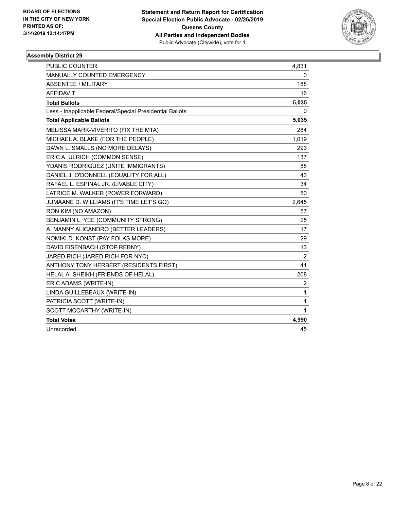

| <b>PUBLIC COUNTER</b>                                    | 4,831          |
|----------------------------------------------------------|----------------|
| <b>MANUALLY COUNTED EMERGENCY</b>                        | 0              |
| <b>ABSENTEE / MILITARY</b>                               | 188            |
| <b>AFFIDAVIT</b>                                         | 16             |
| <b>Total Ballots</b>                                     | 5,035          |
| Less - Inapplicable Federal/Special Presidential Ballots | 0              |
| <b>Total Applicable Ballots</b>                          | 5,035          |
| MELISSA MARK-VIVERITO (FIX THE MTA)                      | 284            |
| MICHAEL A. BLAKE (FOR THE PEOPLE)                        | 1,019          |
| DAWN L. SMALLS (NO MORE DELAYS)                          | 293            |
| ERIC A. ULRICH (COMMON SENSE)                            | 137            |
| YDANIS RODRIGUEZ (UNITE IMMIGRANTS)                      | 88             |
| DANIEL J. O'DONNELL (EQUALITY FOR ALL)                   | 43             |
| RAFAEL L. ESPINAL JR. (LIVABLE CITY)                     | 34             |
| LATRICE M. WALKER (POWER FORWARD)                        | 50             |
| JUMAANE D. WILLIAMS (IT'S TIME LET'S GO)                 | 2,645          |
| RON KIM (NO AMAZON)                                      | 57             |
| BENJAMIN L. YEE (COMMUNITY STRONG)                       | 25             |
| A. MANNY ALICANDRO (BETTER LEADERS)                      | 17             |
| NOMIKI D. KONST (PAY FOLKS MORE)                         | 29             |
| DAVID EISENBACH (STOP REBNY)                             | 13             |
| JARED RICH (JARED RICH FOR NYC)                          | 2              |
| ANTHONY TONY HERBERT (RESIDENTS FIRST)                   | 41             |
| HELAL A. SHEIKH (FRIENDS OF HELAL)                       | 208            |
| ERIC ADAMS (WRITE-IN)                                    | $\overline{c}$ |
| LINDA GUILLEBEAUX (WRITE-IN)                             | $\mathbf{1}$   |
| PATRICIA SCOTT (WRITE-IN)                                | 1              |
| SCOTT MCCARTHY (WRITE-IN)                                | 1              |
| <b>Total Votes</b>                                       | 4,990          |
| Unrecorded                                               | 45             |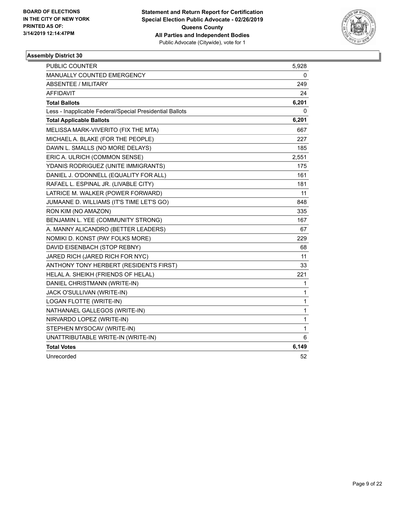

| PUBLIC COUNTER                                           | 5,928 |
|----------------------------------------------------------|-------|
| MANUALLY COUNTED EMERGENCY                               | 0     |
| <b>ABSENTEE / MILITARY</b>                               | 249   |
| <b>AFFIDAVIT</b>                                         | 24    |
| <b>Total Ballots</b>                                     | 6,201 |
| Less - Inapplicable Federal/Special Presidential Ballots | 0     |
| <b>Total Applicable Ballots</b>                          | 6,201 |
| MELISSA MARK-VIVERITO (FIX THE MTA)                      | 667   |
| MICHAEL A. BLAKE (FOR THE PEOPLE)                        | 227   |
| DAWN L. SMALLS (NO MORE DELAYS)                          | 185   |
| ERIC A. ULRICH (COMMON SENSE)                            | 2,551 |
| YDANIS RODRIGUEZ (UNITE IMMIGRANTS)                      | 175   |
| DANIEL J. O'DONNELL (EQUALITY FOR ALL)                   | 161   |
| RAFAEL L. ESPINAL JR. (LIVABLE CITY)                     | 181   |
| LATRICE M. WALKER (POWER FORWARD)                        | 11    |
| JUMAANE D. WILLIAMS (IT'S TIME LET'S GO)                 | 848   |
| RON KIM (NO AMAZON)                                      | 335   |
| BENJAMIN L. YEE (COMMUNITY STRONG)                       | 167   |
| A. MANNY ALICANDRO (BETTER LEADERS)                      | 67    |
| NOMIKI D. KONST (PAY FOLKS MORE)                         | 229   |
| DAVID EISENBACH (STOP REBNY)                             | 68    |
| JARED RICH (JARED RICH FOR NYC)                          | 11    |
| ANTHONY TONY HERBERT (RESIDENTS FIRST)                   | 33    |
| HELAL A. SHEIKH (FRIENDS OF HELAL)                       | 221   |
| DANIEL CHRISTMANN (WRITE-IN)                             | 1     |
| JACK O'SULLIVAN (WRITE-IN)                               | 1     |
| LOGAN FLOTTE (WRITE-IN)                                  | 1     |
| NATHANAEL GALLEGOS (WRITE-IN)                            | 1     |
| NIRVARDO LOPEZ (WRITE-IN)                                | 1     |
| STEPHEN MYSOCAV (WRITE-IN)                               | 1     |
| UNATTRIBUTABLE WRITE-IN (WRITE-IN)                       | 6     |
| <b>Total Votes</b>                                       | 6,149 |
| Unrecorded                                               | 52    |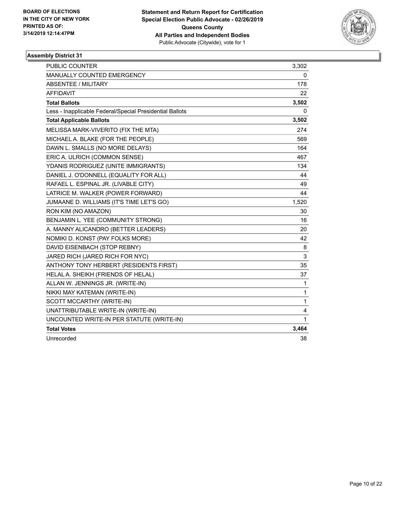

| <b>PUBLIC COUNTER</b>                                    | 3,302       |
|----------------------------------------------------------|-------------|
| MANUALLY COUNTED EMERGENCY                               | 0           |
| <b>ABSENTEE / MILITARY</b>                               | 178         |
| <b>AFFIDAVIT</b>                                         | 22          |
| <b>Total Ballots</b>                                     | 3,502       |
| Less - Inapplicable Federal/Special Presidential Ballots | 0           |
| <b>Total Applicable Ballots</b>                          | 3,502       |
| MELISSA MARK-VIVERITO (FIX THE MTA)                      | 274         |
| MICHAEL A. BLAKE (FOR THE PEOPLE)                        | 569         |
| DAWN L. SMALLS (NO MORE DELAYS)                          | 164         |
| ERIC A. ULRICH (COMMON SENSE)                            | 467         |
| YDANIS RODRIGUEZ (UNITE IMMIGRANTS)                      | 134         |
| DANIEL J. O'DONNELL (EQUALITY FOR ALL)                   | 44          |
| RAFAEL L. ESPINAL JR. (LIVABLE CITY)                     | 49          |
| LATRICE M. WALKER (POWER FORWARD)                        | 44          |
| JUMAANE D. WILLIAMS (IT'S TIME LET'S GO)                 | 1,520       |
| RON KIM (NO AMAZON)                                      | 30          |
| BENJAMIN L. YEE (COMMUNITY STRONG)                       | 16          |
| A. MANNY ALICANDRO (BETTER LEADERS)                      | 20          |
| NOMIKI D. KONST (PAY FOLKS MORE)                         | 42          |
| DAVID EISENBACH (STOP REBNY)                             | 8           |
| JARED RICH (JARED RICH FOR NYC)                          | $\mathsf 3$ |
| ANTHONY TONY HERBERT (RESIDENTS FIRST)                   | 35          |
| HELAL A. SHEIKH (FRIENDS OF HELAL)                       | 37          |
| ALLAN W. JENNINGS JR. (WRITE-IN)                         | 1           |
| NIKKI MAY KATEMAN (WRITE-IN)                             | 1           |
| SCOTT MCCARTHY (WRITE-IN)                                | 1           |
| UNATTRIBUTABLE WRITE-IN (WRITE-IN)                       | 4           |
| UNCOUNTED WRITE-IN PER STATUTE (WRITE-IN)                | 1           |
| <b>Total Votes</b>                                       | 3,464       |
| Unrecorded                                               | 38          |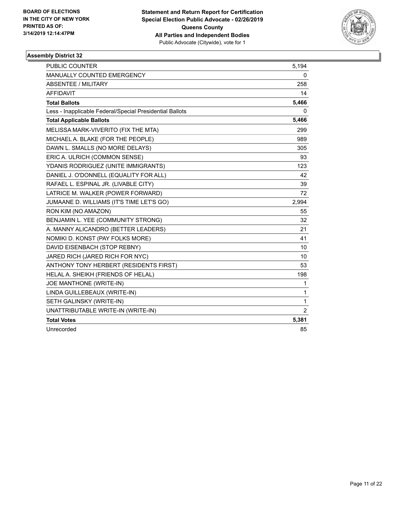

| <b>PUBLIC COUNTER</b>                                    | 5,194          |
|----------------------------------------------------------|----------------|
| <b>MANUALLY COUNTED EMERGENCY</b>                        | 0              |
| ABSENTEE / MILITARY                                      | 258            |
| <b>AFFIDAVIT</b>                                         | 14             |
| <b>Total Ballots</b>                                     | 5,466          |
| Less - Inapplicable Federal/Special Presidential Ballots | 0              |
| <b>Total Applicable Ballots</b>                          | 5,466          |
| MELISSA MARK-VIVERITO (FIX THE MTA)                      | 299            |
| MICHAEL A. BLAKE (FOR THE PEOPLE)                        | 989            |
| DAWN L. SMALLS (NO MORE DELAYS)                          | 305            |
| ERIC A. ULRICH (COMMON SENSE)                            | 93             |
| YDANIS RODRIGUEZ (UNITE IMMIGRANTS)                      | 123            |
| DANIEL J. O'DONNELL (EQUALITY FOR ALL)                   | 42             |
| RAFAEL L. ESPINAL JR. (LIVABLE CITY)                     | 39             |
| LATRICE M. WALKER (POWER FORWARD)                        | 72             |
| JUMAANE D. WILLIAMS (IT'S TIME LET'S GO)                 | 2,994          |
| RON KIM (NO AMAZON)                                      | 55             |
| BENJAMIN L. YEE (COMMUNITY STRONG)                       | 32             |
| A. MANNY ALICANDRO (BETTER LEADERS)                      | 21             |
| NOMIKI D. KONST (PAY FOLKS MORE)                         | 41             |
| DAVID EISENBACH (STOP REBNY)                             | 10             |
| JARED RICH (JARED RICH FOR NYC)                          | 10             |
| ANTHONY TONY HERBERT (RESIDENTS FIRST)                   | 53             |
| HELAL A. SHEIKH (FRIENDS OF HELAL)                       | 198            |
| JOE MANTHONE (WRITE-IN)                                  | 1              |
| LINDA GUILLEBEAUX (WRITE-IN)                             | 1              |
| SETH GALINSKY (WRITE-IN)                                 | 1              |
| UNATTRIBUTABLE WRITE-IN (WRITE-IN)                       | $\overline{2}$ |
| <b>Total Votes</b>                                       | 5,381          |
| Unrecorded                                               | 85             |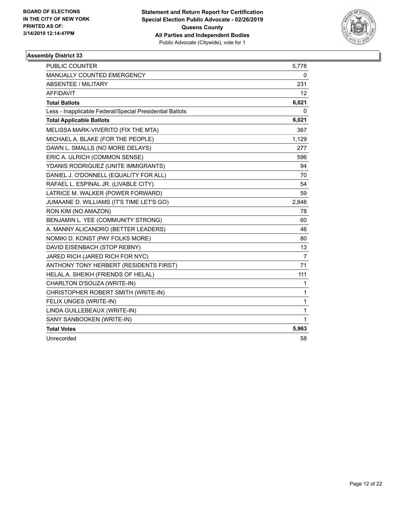

| <b>PUBLIC COUNTER</b>                                    | 5,778          |
|----------------------------------------------------------|----------------|
| MANUALLY COUNTED EMERGENCY                               | 0              |
| <b>ABSENTEE / MILITARY</b>                               | 231            |
| <b>AFFIDAVIT</b>                                         | 12             |
| <b>Total Ballots</b>                                     | 6,021          |
| Less - Inapplicable Federal/Special Presidential Ballots | 0              |
| <b>Total Applicable Ballots</b>                          | 6,021          |
| MELISSA MARK-VIVERITO (FIX THE MTA)                      | 367            |
| MICHAEL A. BLAKE (FOR THE PEOPLE)                        | 1,129          |
| DAWN L. SMALLS (NO MORE DELAYS)                          | 277            |
| ERIC A. ULRICH (COMMON SENSE)                            | 596            |
| YDANIS RODRIGUEZ (UNITE IMMIGRANTS)                      | 94             |
| DANIEL J. O'DONNELL (EQUALITY FOR ALL)                   | 70             |
| RAFAEL L. ESPINAL JR. (LIVABLE CITY)                     | 54             |
| LATRICE M. WALKER (POWER FORWARD)                        | 59             |
| JUMAANE D. WILLIAMS (IT'S TIME LET'S GO)                 | 2,846          |
| RON KIM (NO AMAZON)                                      | 78             |
| BENJAMIN L. YEE (COMMUNITY STRONG)                       | 60             |
| A. MANNY ALICANDRO (BETTER LEADERS)                      | 46             |
| NOMIKI D. KONST (PAY FOLKS MORE)                         | 80             |
| DAVID EISENBACH (STOP REBNY)                             | 13             |
| JARED RICH (JARED RICH FOR NYC)                          | $\overline{7}$ |
| ANTHONY TONY HERBERT (RESIDENTS FIRST)                   | 71             |
| HELAL A. SHEIKH (FRIENDS OF HELAL)                       | 111            |
| CHARLTON D'SOUZA (WRITE-IN)                              | 1              |
| CHRISTOPHER ROBERT SMITH (WRITE-IN)                      | 1              |
| FELIX UNGES (WRITE-IN)                                   | 1              |
| LINDA GUILLEBEAUX (WRITE-IN)                             | $\mathbf{1}$   |
| SANY SANBOOKEN (WRITE-IN)                                | 1              |
| <b>Total Votes</b>                                       | 5,963          |
| Unrecorded                                               | 58             |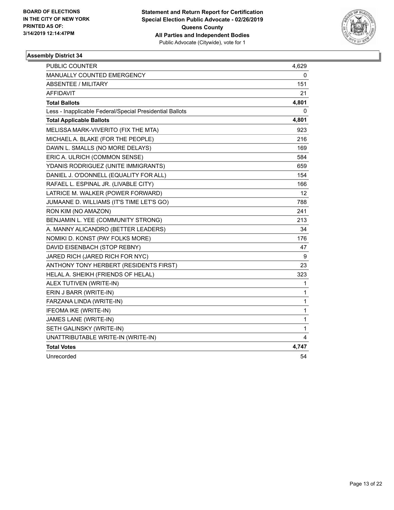

| <b>PUBLIC COUNTER</b>                                    | 4,629 |
|----------------------------------------------------------|-------|
| MANUALLY COUNTED EMERGENCY                               | 0     |
| <b>ABSENTEE / MILITARY</b>                               | 151   |
| <b>AFFIDAVIT</b>                                         | 21    |
| <b>Total Ballots</b>                                     | 4,801 |
| Less - Inapplicable Federal/Special Presidential Ballots | 0     |
| <b>Total Applicable Ballots</b>                          | 4,801 |
| MELISSA MARK-VIVERITO (FIX THE MTA)                      | 923   |
| MICHAEL A. BLAKE (FOR THE PEOPLE)                        | 216   |
| DAWN L. SMALLS (NO MORE DELAYS)                          | 169   |
| ERIC A. ULRICH (COMMON SENSE)                            | 584   |
| YDANIS RODRIGUEZ (UNITE IMMIGRANTS)                      | 659   |
| DANIEL J. O'DONNELL (EQUALITY FOR ALL)                   | 154   |
| RAFAEL L. ESPINAL JR. (LIVABLE CITY)                     | 166   |
| LATRICE M. WALKER (POWER FORWARD)                        | 12    |
| JUMAANE D. WILLIAMS (IT'S TIME LET'S GO)                 | 788   |
| RON KIM (NO AMAZON)                                      | 241   |
| BENJAMIN L. YEE (COMMUNITY STRONG)                       | 213   |
| A. MANNY ALICANDRO (BETTER LEADERS)                      | 34    |
| NOMIKI D. KONST (PAY FOLKS MORE)                         | 176   |
| DAVID EISENBACH (STOP REBNY)                             | 47    |
| JARED RICH (JARED RICH FOR NYC)                          | 9     |
| ANTHONY TONY HERBERT (RESIDENTS FIRST)                   | 23    |
| HELAL A. SHEIKH (FRIENDS OF HELAL)                       | 323   |
| ALEX TUTIVEN (WRITE-IN)                                  | 1     |
| ERIN J BARR (WRITE-IN)                                   | 1     |
| FARZANA LINDA (WRITE-IN)                                 | 1     |
| IFEOMA IKE (WRITE-IN)                                    | 1     |
| JAMES LANE (WRITE-IN)                                    | 1     |
| SETH GALINSKY (WRITE-IN)                                 | 1     |
| UNATTRIBUTABLE WRITE-IN (WRITE-IN)                       | 4     |
| <b>Total Votes</b>                                       | 4,747 |
| Unrecorded                                               | 54    |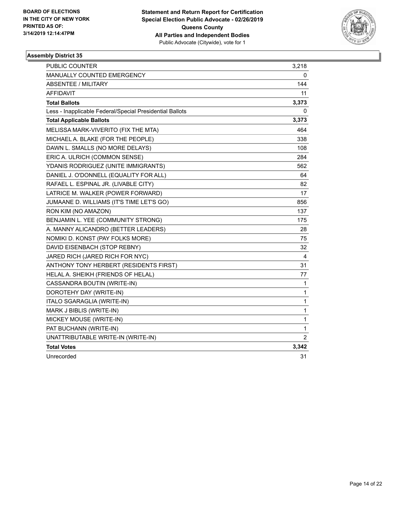

| PUBLIC COUNTER                                           | 3,218          |
|----------------------------------------------------------|----------------|
| MANUALLY COUNTED EMERGENCY                               | 0              |
| <b>ABSENTEE / MILITARY</b>                               | 144            |
| AFFIDAVIT                                                | 11             |
| <b>Total Ballots</b>                                     | 3,373          |
| Less - Inapplicable Federal/Special Presidential Ballots | 0              |
| <b>Total Applicable Ballots</b>                          | 3,373          |
| MELISSA MARK-VIVERITO (FIX THE MTA)                      | 464            |
| MICHAEL A. BLAKE (FOR THE PEOPLE)                        | 338            |
| DAWN L. SMALLS (NO MORE DELAYS)                          | 108            |
| ERIC A. ULRICH (COMMON SENSE)                            | 284            |
| YDANIS RODRIGUEZ (UNITE IMMIGRANTS)                      | 562            |
| DANIEL J. O'DONNELL (EQUALITY FOR ALL)                   | 64             |
| RAFAEL L. ESPINAL JR. (LIVABLE CITY)                     | 82             |
| LATRICE M. WALKER (POWER FORWARD)                        | 17             |
| JUMAANE D. WILLIAMS (IT'S TIME LET'S GO)                 | 856            |
| RON KIM (NO AMAZON)                                      | 137            |
| BENJAMIN L. YEE (COMMUNITY STRONG)                       | 175            |
| A. MANNY ALICANDRO (BETTER LEADERS)                      | 28             |
| NOMIKI D. KONST (PAY FOLKS MORE)                         | 75             |
| DAVID EISENBACH (STOP REBNY)                             | 32             |
| JARED RICH (JARED RICH FOR NYC)                          | 4              |
| ANTHONY TONY HERBERT (RESIDENTS FIRST)                   | 31             |
| HELAL A. SHEIKH (FRIENDS OF HELAL)                       | 77             |
| CASSANDRA BOUTIN (WRITE-IN)                              | 1              |
| DOROTEHY DAY (WRITE-IN)                                  | $\mathbf{1}$   |
| ITALO SGARAGLIA (WRITE-IN)                               | 1              |
| MARK J BIBLIS (WRITE-IN)                                 | $\mathbf{1}$   |
| MICKEY MOUSE (WRITE-IN)                                  | 1              |
| PAT BUCHANN (WRITE-IN)                                   | 1              |
| UNATTRIBUTABLE WRITE-IN (WRITE-IN)                       | $\overline{2}$ |
| <b>Total Votes</b>                                       | 3,342          |
| Unrecorded                                               | 31             |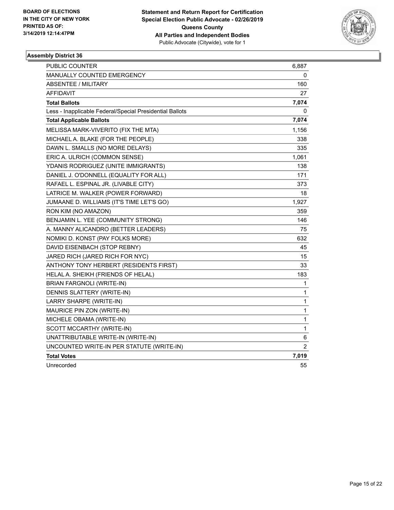

| <b>PUBLIC COUNTER</b>                                    | 6,887          |
|----------------------------------------------------------|----------------|
| <b>MANUALLY COUNTED EMERGENCY</b>                        | 0              |
| <b>ABSENTEE / MILITARY</b>                               | 160            |
| <b>AFFIDAVIT</b>                                         | 27             |
| <b>Total Ballots</b>                                     | 7,074          |
| Less - Inapplicable Federal/Special Presidential Ballots | 0              |
| <b>Total Applicable Ballots</b>                          | 7,074          |
| MELISSA MARK-VIVERITO (FIX THE MTA)                      | 1,156          |
| MICHAEL A. BLAKE (FOR THE PEOPLE)                        | 338            |
| DAWN L. SMALLS (NO MORE DELAYS)                          | 335            |
| ERIC A. ULRICH (COMMON SENSE)                            | 1,061          |
| YDANIS RODRIGUEZ (UNITE IMMIGRANTS)                      | 138            |
| DANIEL J. O'DONNELL (EQUALITY FOR ALL)                   | 171            |
| RAFAEL L. ESPINAL JR. (LIVABLE CITY)                     | 373            |
| LATRICE M. WALKER (POWER FORWARD)                        | 18             |
| JUMAANE D. WILLIAMS (IT'S TIME LET'S GO)                 | 1,927          |
| RON KIM (NO AMAZON)                                      | 359            |
| BENJAMIN L. YEE (COMMUNITY STRONG)                       | 146            |
| A. MANNY ALICANDRO (BETTER LEADERS)                      | 75             |
| NOMIKI D. KONST (PAY FOLKS MORE)                         | 632            |
| DAVID EISENBACH (STOP REBNY)                             | 45             |
| JARED RICH (JARED RICH FOR NYC)                          | 15             |
| ANTHONY TONY HERBERT (RESIDENTS FIRST)                   | 33             |
| HELAL A. SHEIKH (FRIENDS OF HELAL)                       | 183            |
| BRIAN FARGNOLI (WRITE-IN)                                | 1              |
| DENNIS SLATTERY (WRITE-IN)                               | $\mathbf{1}$   |
| LARRY SHARPE (WRITE-IN)                                  | $\mathbf{1}$   |
| MAURICE PIN ZON (WRITE-IN)                               | 1              |
| MICHELE OBAMA (WRITE-IN)                                 | 1              |
| SCOTT MCCARTHY (WRITE-IN)                                | $\mathbf{1}$   |
| UNATTRIBUTABLE WRITE-IN (WRITE-IN)                       | 6              |
| UNCOUNTED WRITE-IN PER STATUTE (WRITE-IN)                | $\overline{2}$ |
| <b>Total Votes</b>                                       | 7,019          |
| Unrecorded                                               | 55             |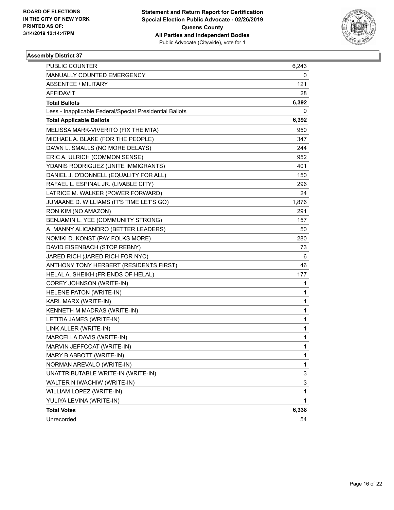

| <b>PUBLIC COUNTER</b>                                    | 6,243        |
|----------------------------------------------------------|--------------|
| MANUALLY COUNTED EMERGENCY                               | 0            |
| <b>ABSENTEE / MILITARY</b>                               | 121          |
| AFFIDAVIT                                                | 28           |
| <b>Total Ballots</b>                                     | 6,392        |
| Less - Inapplicable Federal/Special Presidential Ballots | 0            |
| <b>Total Applicable Ballots</b>                          | 6,392        |
| MELISSA MARK-VIVERITO (FIX THE MTA)                      | 950          |
| MICHAEL A. BLAKE (FOR THE PEOPLE)                        | 347          |
| DAWN L. SMALLS (NO MORE DELAYS)                          | 244          |
| ERIC A. ULRICH (COMMON SENSE)                            | 952          |
| YDANIS RODRIGUEZ (UNITE IMMIGRANTS)                      | 401          |
| DANIEL J. O'DONNELL (EQUALITY FOR ALL)                   | 150          |
| RAFAEL L. ESPINAL JR. (LIVABLE CITY)                     | 296          |
| LATRICE M. WALKER (POWER FORWARD)                        | 24           |
| JUMAANE D. WILLIAMS (IT'S TIME LET'S GO)                 | 1,876        |
| RON KIM (NO AMAZON)                                      | 291          |
| BENJAMIN L. YEE (COMMUNITY STRONG)                       | 157          |
| A. MANNY ALICANDRO (BETTER LEADERS)                      | 50           |
| NOMIKI D. KONST (PAY FOLKS MORE)                         | 280          |
| DAVID EISENBACH (STOP REBNY)                             | 73           |
| JARED RICH (JARED RICH FOR NYC)                          | 6            |
| ANTHONY TONY HERBERT (RESIDENTS FIRST)                   | 46           |
| HELAL A. SHEIKH (FRIENDS OF HELAL)                       | 177          |
| COREY JOHNSON (WRITE-IN)                                 | 1            |
| HELENE PATON (WRITE-IN)                                  | 1            |
| KARL MARX (WRITE-IN)                                     | 1            |
| KENNETH M MADRAS (WRITE-IN)                              | 1            |
| LETITIA JAMES (WRITE-IN)                                 | 1            |
| LINK ALLER (WRITE-IN)                                    | 1            |
| MARCELLA DAVIS (WRITE-IN)                                | 1            |
| MARVIN JEFFCOAT (WRITE-IN)                               | $\mathbf{1}$ |
| MARY B ABBOTT (WRITE-IN)                                 | 1            |
| NORMAN AREVALO (WRITE-IN)                                | 1            |
| UNATTRIBUTABLE WRITE-IN (WRITE-IN)                       | 3            |
| WALTER N IWACHIW (WRITE-IN)                              | 3            |
| WILLIAM LOPEZ (WRITE-IN)                                 | 1            |
| YULIYA LEVINA (WRITE-IN)                                 | 1            |
| <b>Total Votes</b>                                       | 6,338        |
| Unrecorded                                               | 54           |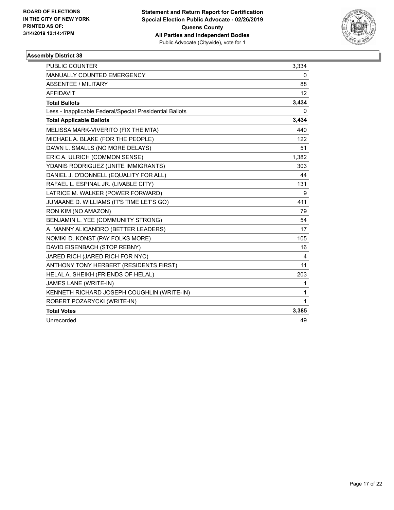

| <b>PUBLIC COUNTER</b>                                    | 3,334        |
|----------------------------------------------------------|--------------|
| <b>MANUALLY COUNTED EMERGENCY</b>                        | 0            |
| ABSENTEE / MILITARY                                      | 88           |
| <b>AFFIDAVIT</b>                                         | 12           |
| <b>Total Ballots</b>                                     | 3,434        |
| Less - Inapplicable Federal/Special Presidential Ballots | 0            |
| <b>Total Applicable Ballots</b>                          | 3,434        |
| MELISSA MARK-VIVERITO (FIX THE MTA)                      | 440          |
| MICHAEL A. BLAKE (FOR THE PEOPLE)                        | 122          |
| DAWN L. SMALLS (NO MORE DELAYS)                          | 51           |
| ERIC A. ULRICH (COMMON SENSE)                            | 1,382        |
| YDANIS RODRIGUEZ (UNITE IMMIGRANTS)                      | 303          |
| DANIEL J. O'DONNELL (EQUALITY FOR ALL)                   | 44           |
| RAFAEL L. ESPINAL JR. (LIVABLE CITY)                     | 131          |
| LATRICE M. WALKER (POWER FORWARD)                        | 9            |
| JUMAANE D. WILLIAMS (IT'S TIME LET'S GO)                 | 411          |
| RON KIM (NO AMAZON)                                      | 79           |
| BENJAMIN L. YEE (COMMUNITY STRONG)                       | 54           |
| A. MANNY ALICANDRO (BETTER LEADERS)                      | 17           |
| NOMIKI D. KONST (PAY FOLKS MORE)                         | 105          |
| DAVID EISENBACH (STOP REBNY)                             | 16           |
| JARED RICH (JARED RICH FOR NYC)                          | 4            |
| ANTHONY TONY HERBERT (RESIDENTS FIRST)                   | 11           |
| HELAL A. SHEIKH (FRIENDS OF HELAL)                       | 203          |
| JAMES LANE (WRITE-IN)                                    | 1            |
| KENNETH RICHARD JOSEPH COUGHLIN (WRITE-IN)               | $\mathbf{1}$ |
| ROBERT POZARYCKI (WRITE-IN)                              | 1            |
| <b>Total Votes</b>                                       | 3,385        |
| Unrecorded                                               | 49           |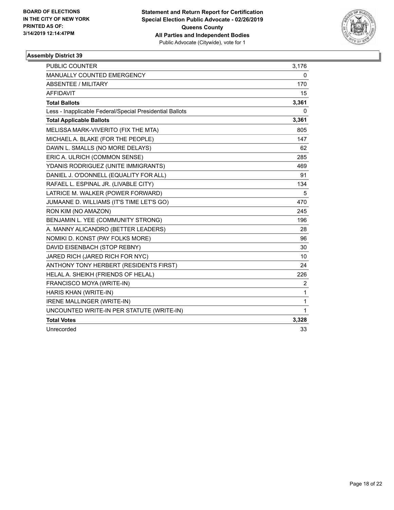

| <b>PUBLIC COUNTER</b>                                    | 3,176        |
|----------------------------------------------------------|--------------|
| <b>MANUALLY COUNTED EMERGENCY</b>                        | 0            |
| <b>ABSENTEE / MILITARY</b>                               | 170          |
| <b>AFFIDAVIT</b>                                         | 15           |
| <b>Total Ballots</b>                                     | 3,361        |
| Less - Inapplicable Federal/Special Presidential Ballots | 0            |
| <b>Total Applicable Ballots</b>                          | 3,361        |
| MELISSA MARK-VIVERITO (FIX THE MTA)                      | 805          |
| MICHAEL A. BLAKE (FOR THE PEOPLE)                        | 147          |
| DAWN L. SMALLS (NO MORE DELAYS)                          | 62           |
| ERIC A. ULRICH (COMMON SENSE)                            | 285          |
| YDANIS RODRIGUEZ (UNITE IMMIGRANTS)                      | 469          |
| DANIEL J. O'DONNELL (EQUALITY FOR ALL)                   | 91           |
| RAFAEL L. ESPINAL JR. (LIVABLE CITY)                     | 134          |
| LATRICE M. WALKER (POWER FORWARD)                        | 5            |
| JUMAANE D. WILLIAMS (IT'S TIME LET'S GO)                 | 470          |
| RON KIM (NO AMAZON)                                      | 245          |
| BENJAMIN L. YEE (COMMUNITY STRONG)                       | 196          |
| A. MANNY ALICANDRO (BETTER LEADERS)                      | 28           |
| NOMIKI D. KONST (PAY FOLKS MORE)                         | 96           |
| DAVID EISENBACH (STOP REBNY)                             | 30           |
| JARED RICH (JARED RICH FOR NYC)                          | 10           |
| ANTHONY TONY HERBERT (RESIDENTS FIRST)                   | 24           |
| HELAL A. SHEIKH (FRIENDS OF HELAL)                       | 226          |
| FRANCISCO MOYA (WRITE-IN)                                | 2            |
| HARIS KHAN (WRITE-IN)                                    | $\mathbf{1}$ |
| IRENE MALLINGER (WRITE-IN)                               | 1            |
| UNCOUNTED WRITE-IN PER STATUTE (WRITE-IN)                | 1            |
| <b>Total Votes</b>                                       | 3,328        |
| Unrecorded                                               | 33           |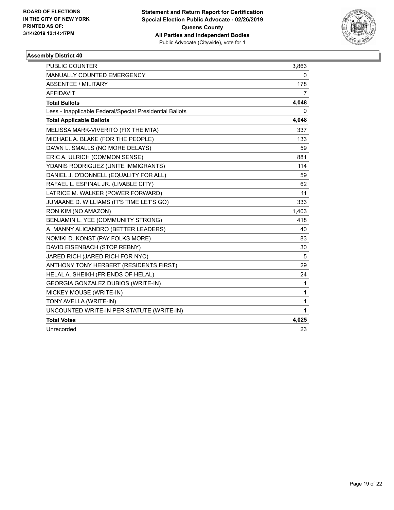

| <b>PUBLIC COUNTER</b>                                    | 3,863 |
|----------------------------------------------------------|-------|
| MANUALLY COUNTED EMERGENCY                               | 0     |
| <b>ABSENTEE / MILITARY</b>                               | 178   |
| <b>AFFIDAVIT</b>                                         | 7     |
| <b>Total Ballots</b>                                     | 4,048 |
| Less - Inapplicable Federal/Special Presidential Ballots | 0     |
| <b>Total Applicable Ballots</b>                          | 4,048 |
| MELISSA MARK-VIVERITO (FIX THE MTA)                      | 337   |
| MICHAEL A. BLAKE (FOR THE PEOPLE)                        | 133   |
| DAWN L. SMALLS (NO MORE DELAYS)                          | 59    |
| ERIC A. ULRICH (COMMON SENSE)                            | 881   |
| YDANIS RODRIGUEZ (UNITE IMMIGRANTS)                      | 114   |
| DANIEL J. O'DONNELL (EQUALITY FOR ALL)                   | 59    |
| RAFAEL L. ESPINAL JR. (LIVABLE CITY)                     | 62    |
| LATRICE M. WALKER (POWER FORWARD)                        | 11    |
| JUMAANE D. WILLIAMS (IT'S TIME LET'S GO)                 | 333   |
| RON KIM (NO AMAZON)                                      | 1,403 |
| BENJAMIN L. YEE (COMMUNITY STRONG)                       | 418   |
| A. MANNY ALICANDRO (BETTER LEADERS)                      | 40    |
| NOMIKI D. KONST (PAY FOLKS MORE)                         | 83    |
| DAVID EISENBACH (STOP REBNY)                             | 30    |
| JARED RICH (JARED RICH FOR NYC)                          | 5     |
| ANTHONY TONY HERBERT (RESIDENTS FIRST)                   | 29    |
| HELAL A. SHEIKH (FRIENDS OF HELAL)                       | 24    |
| <b>GEORGIA GONZALEZ DUBIOS (WRITE-IN)</b>                | 1     |
| MICKEY MOUSE (WRITE-IN)                                  | 1     |
| TONY AVELLA (WRITE-IN)                                   | 1     |
| UNCOUNTED WRITE-IN PER STATUTE (WRITE-IN)                | 1     |
| <b>Total Votes</b>                                       | 4,025 |
| Unrecorded                                               | 23    |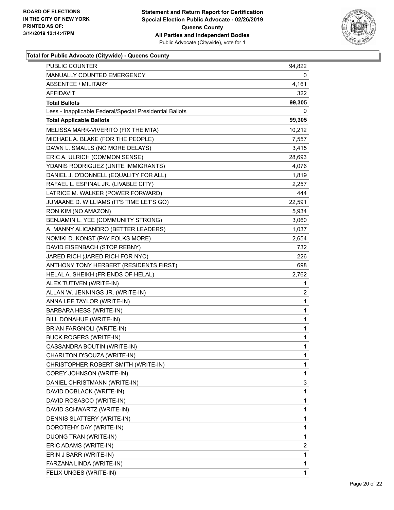

#### **Total for Public Advocate (Citywide) - Queens County**

| PUBLIC COUNTER                                           | 94,822                  |
|----------------------------------------------------------|-------------------------|
| MANUALLY COUNTED EMERGENCY                               | 0                       |
| <b>ABSENTEE / MILITARY</b>                               | 4,161                   |
| <b>AFFIDAVIT</b>                                         | 322                     |
| <b>Total Ballots</b>                                     | 99,305                  |
| Less - Inapplicable Federal/Special Presidential Ballots | 0                       |
| <b>Total Applicable Ballots</b>                          | 99,305                  |
| MELISSA MARK-VIVERITO (FIX THE MTA)                      | 10,212                  |
| MICHAEL A. BLAKE (FOR THE PEOPLE)                        | 7,557                   |
| DAWN L. SMALLS (NO MORE DELAYS)                          | 3,415                   |
| ERIC A. ULRICH (COMMON SENSE)                            | 28,693                  |
| YDANIS RODRIGUEZ (UNITE IMMIGRANTS)                      | 4,076                   |
| DANIEL J. O'DONNELL (EQUALITY FOR ALL)                   | 1,819                   |
| RAFAEL L. ESPINAL JR. (LIVABLE CITY)                     | 2,257                   |
| LATRICE M. WALKER (POWER FORWARD)                        | 444                     |
| JUMAANE D. WILLIAMS (IT'S TIME LET'S GO)                 | 22,591                  |
| RON KIM (NO AMAZON)                                      | 5,934                   |
| BENJAMIN L. YEE (COMMUNITY STRONG)                       | 3,060                   |
| A. MANNY ALICANDRO (BETTER LEADERS)                      | 1,037                   |
| NOMIKI D. KONST (PAY FOLKS MORE)                         | 2,654                   |
| DAVID EISENBACH (STOP REBNY)                             | 732                     |
| JARED RICH (JARED RICH FOR NYC)                          | 226                     |
| ANTHONY TONY HERBERT (RESIDENTS FIRST)                   | 698                     |
| HELAL A. SHEIKH (FRIENDS OF HELAL)                       | 2,762                   |
| ALEX TUTIVEN (WRITE-IN)                                  | 1                       |
| ALLAN W. JENNINGS JR. (WRITE-IN)                         | $\overline{\mathbf{c}}$ |
| ANNA LEE TAYLOR (WRITE-IN)                               | 1                       |
| BARBARA HESS (WRITE-IN)                                  | 1                       |
| BILL DONAHUE (WRITE-IN)                                  | 1                       |
| BRIAN FARGNOLI (WRITE-IN)                                | 1                       |
| <b>BUCK ROGERS (WRITE-IN)</b>                            | 1                       |
| CASSANDRA BOUTIN (WRITE-IN)                              | $\mathbf{1}$            |
| CHARLTON D'SOUZA (WRITE-IN)                              | 1                       |
| CHRISTOPHER ROBERT SMITH (WRITE-IN)                      | 1                       |
| COREY JOHNSON (WRITE-IN)                                 | 1                       |
| DANIEL CHRISTMANN (WRITE-IN)                             | 3                       |
| DAVID DOBLACK (WRITE-IN)                                 | 1                       |
| DAVID ROSASCO (WRITE-IN)                                 | 1                       |
| DAVID SCHWARTZ (WRITE-IN)                                | 1                       |
| DENNIS SLATTERY (WRITE-IN)                               | 1                       |
| DOROTEHY DAY (WRITE-IN)                                  | 1                       |
| DUONG TRAN (WRITE-IN)                                    | 1                       |
| ERIC ADAMS (WRITE-IN)                                    | 2                       |
| ERIN J BARR (WRITE-IN)                                   | 1                       |
| FARZANA LINDA (WRITE-IN)                                 | 1                       |
| FELIX UNGES (WRITE-IN)                                   | 1                       |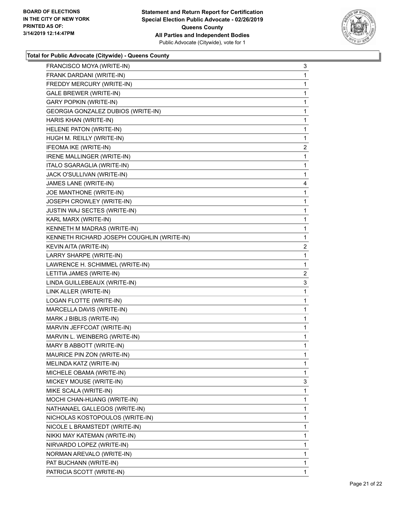

### **Total for Public Advocate (Citywide) - Queens County**

| FRANCISCO MOYA (WRITE-IN)                  | 3              |
|--------------------------------------------|----------------|
| FRANK DARDANI (WRITE-IN)                   | $\mathbf{1}$   |
| FREDDY MERCURY (WRITE-IN)                  | 1              |
| GALE BREWER (WRITE-IN)                     | 1              |
| GARY POPKIN (WRITE-IN)                     | $\mathbf{1}$   |
| GEORGIA GONZALEZ DUBIOS (WRITE-IN)         | 1              |
| HARIS KHAN (WRITE-IN)                      | 1              |
| HELENE PATON (WRITE-IN)                    | $\mathbf{1}$   |
| HUGH M. REILLY (WRITE-IN)                  | 1              |
| IFEOMA IKE (WRITE-IN)                      | 2              |
| IRENE MALLINGER (WRITE-IN)                 | 1              |
| ITALO SGARAGLIA (WRITE-IN)                 | 1              |
| JACK O'SULLIVAN (WRITE-IN)                 | 1              |
| JAMES LANE (WRITE-IN)                      | 4              |
| JOE MANTHONE (WRITE-IN)                    | 1              |
| JOSEPH CROWLEY (WRITE-IN)                  | 1              |
| JUSTIN WAJ SECTES (WRITE-IN)               | $\mathbf{1}$   |
| KARL MARX (WRITE-IN)                       | 1              |
| KENNETH M MADRAS (WRITE-IN)                | 1              |
| KENNETH RICHARD JOSEPH COUGHLIN (WRITE-IN) | $\mathbf{1}$   |
| KEVIN AITA (WRITE-IN)                      | $\overline{2}$ |
| LARRY SHARPE (WRITE-IN)                    | $\mathbf{1}$   |
| LAWRENCE H. SCHIMMEL (WRITE-IN)            | 1              |
| LETITIA JAMES (WRITE-IN)                   | $\overline{2}$ |
| LINDA GUILLEBEAUX (WRITE-IN)               | 3              |
| LINK ALLER (WRITE-IN)                      | $\mathbf{1}$   |
| LOGAN FLOTTE (WRITE-IN)                    | 1              |
| MARCELLA DAVIS (WRITE-IN)                  | $\mathbf{1}$   |
| MARK J BIBLIS (WRITE-IN)                   | $\mathbf{1}$   |
| MARVIN JEFFCOAT (WRITE-IN)                 | $\mathbf{1}$   |
| MARVIN L. WEINBERG (WRITE-IN)              | $\mathbf 1$    |
| MARY B ABBOTT (WRITE-IN)                   | $\mathbf{1}$   |
| MAURICE PIN ZON (WRITE-IN)                 | $\mathbf{1}$   |
| MELINDA KATZ (WRITE-IN)                    | 1              |
| MICHELE OBAMA (WRITE-IN)                   | $\mathbf{1}$   |
| MICKEY MOUSE (WRITE-IN)                    | 3              |
| MIKE SCALA (WRITE-IN)                      | 1              |
| MOCHI CHAN-HUANG (WRITE-IN)                | 1              |
| NATHANAEL GALLEGOS (WRITE-IN)              | 1              |
| NICHOLAS KOSTOPOULOS (WRITE-IN)            | 1              |
| NICOLE L BRAMSTEDT (WRITE-IN)              | $\mathbf{1}$   |
| NIKKI MAY KATEMAN (WRITE-IN)               | 1              |
| NIRVARDO LOPEZ (WRITE-IN)                  | 1              |
| NORMAN AREVALO (WRITE-IN)                  | 1              |
| PAT BUCHANN (WRITE-IN)                     | 1              |
| PATRICIA SCOTT (WRITE-IN)                  | 1              |
|                                            |                |